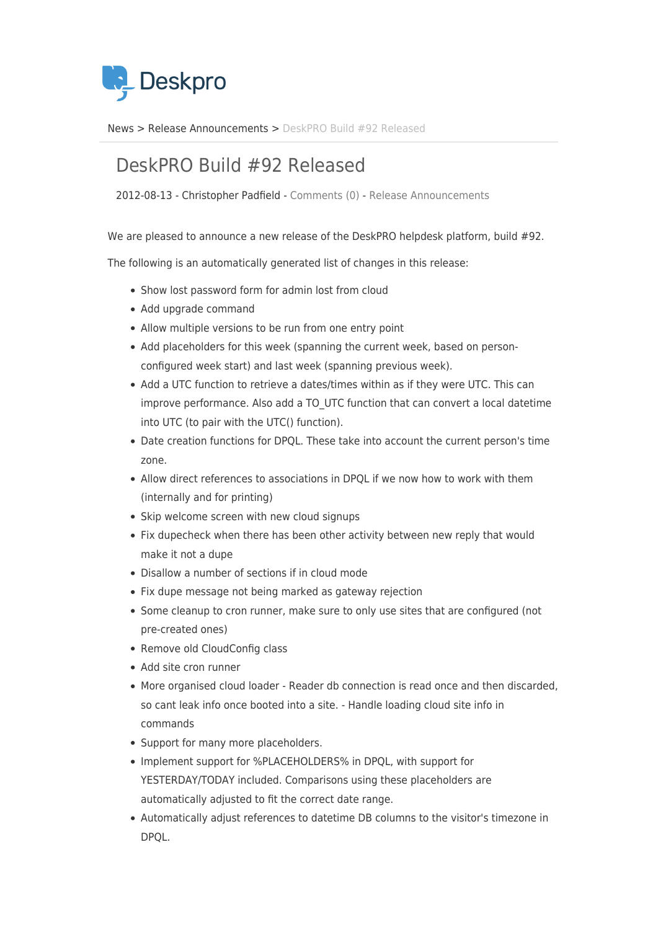

[News](https://support.deskpro.com/sv/news) > [Release Announcements](https://support.deskpro.com/sv/news/release-announcements) > [DeskPRO Build #92 Released](https://support.deskpro.com/sv/news/posts/deskpro-build-92-released)

## DeskPRO Build #92 Released

2012-08-13 - Christopher Padfield - [Comments \(0\)](#page--1-0) - [Release Announcements](https://support.deskpro.com/sv/news/release-announcements)

We are pleased to announce a new release of the DeskPRO helpdesk platform, build #92.

The following is an automatically generated list of changes in this release:

- Show lost password form for admin lost from cloud
- Add upgrade command
- Allow multiple versions to be run from one entry point
- Add placeholders for this week (spanning the current week, based on personconfigured week start) and last week (spanning previous week).
- Add a UTC function to retrieve a dates/times within as if they were UTC. This can improve performance. Also add a TO\_UTC function that can convert a local datetime into UTC (to pair with the UTC() function).
- Date creation functions for DPQL. These take into account the current person's time zone.
- Allow direct references to associations in DPQL if we now how to work with them (internally and for printing)
- Skip welcome screen with new cloud signups
- Fix dupecheck when there has been other activity between new reply that would make it not a dupe
- Disallow a number of sections if in cloud mode
- Fix dupe message not being marked as gateway rejection
- Some cleanup to cron runner, make sure to only use sites that are configured (not pre-created ones)
- Remove old CloudConfig class
- Add site cron runner
- More organised cloud loader Reader db connection is read once and then discarded, so cant leak info once booted into a site. - Handle loading cloud site info in commands
- Support for many more placeholders.
- Implement support for %PLACEHOLDERS% in DPQL, with support for YESTERDAY/TODAY included. Comparisons using these placeholders are automatically adjusted to fit the correct date range.
- Automatically adjust references to datetime DB columns to the visitor's timezone in DPQL.